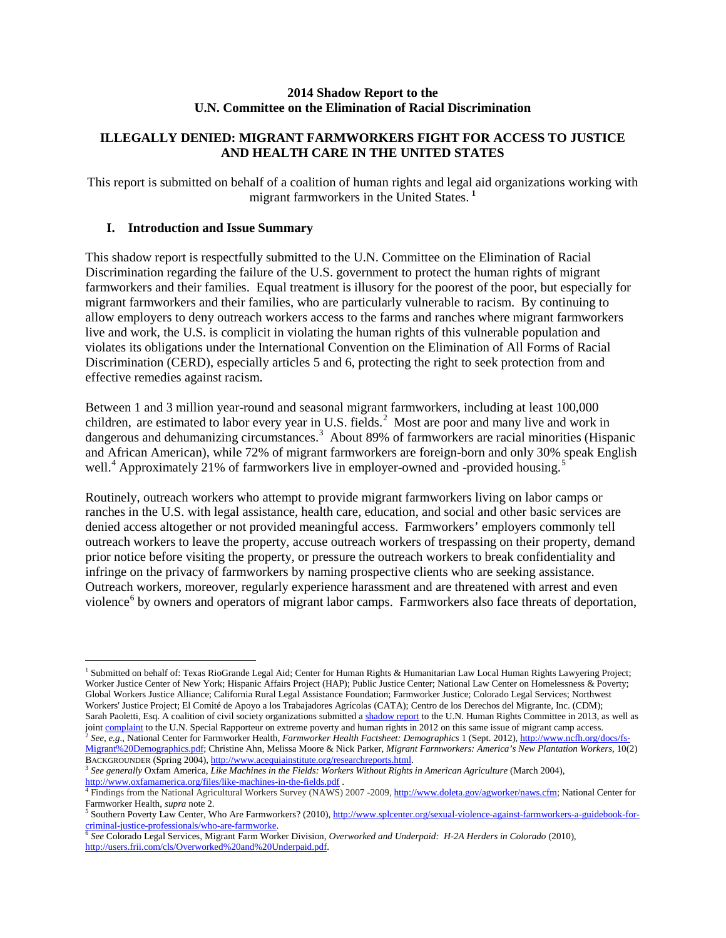#### **2014 Shadow Report to the U.N. Committee on the Elimination of Racial Discrimination**

# **ILLEGALLY DENIED: MIGRANT FARMWORKERS FIGHT FOR ACCESS TO JUSTICE AND HEALTH CARE IN THE UNITED STATES**

This report is submitted on behalf of a coalition of human rights and legal aid organizations working with migrant farmworkers in the United States. **[1](#page-0-0)**

## **I. Introduction and Issue Summary**

This shadow report is respectfully submitted to the U.N. Committee on the Elimination of Racial Discrimination regarding the failure of the U.S. government to protect the human rights of migrant farmworkers and their families. Equal treatment is illusory for the poorest of the poor, but especially for migrant farmworkers and their families, who are particularly vulnerable to racism. By continuing to allow employers to deny outreach workers access to the farms and ranches where migrant farmworkers live and work, the U.S. is complicit in violating the human rights of this vulnerable population and violates its obligations under the International Convention on the Elimination of All Forms of Racial Discrimination (CERD), especially articles 5 and 6, protecting the right to seek protection from and effective remedies against racism.

Between 1 and 3 million year-round and seasonal migrant farmworkers, including at least 100,000 children, are estimated to labor every year in U.S. fields.<sup>[2](#page-0-1)</sup> Most are poor and many live and work in dangerous and dehumanizing circumstances.<sup>[3](#page-0-2)</sup> About 89% of farmworkers are racial minorities (Hispanic and African American), while 72% of migrant farmworkers are foreign-born and only 30% speak English well.<sup>[4](#page-0-3)</sup> Approximately 21% of farmworkers live in employer-owned and -provided housing.<sup>[5](#page-0-4)</sup>

Routinely, outreach workers who attempt to provide migrant farmworkers living on labor camps or ranches in the U.S. with legal assistance, health care, education, and social and other basic services are denied access altogether or not provided meaningful access. Farmworkers' employers commonly tell outreach workers to leave the property, accuse outreach workers of trespassing on their property, demand prior notice before visiting the property, or pressure the outreach workers to break confidentiality and infringe on the privacy of farmworkers by naming prospective clients who are seeking assistance. Outreach workers, moreover, regularly experience harassment and are threatened with arrest and even violence<sup>[6](#page-0-5)</sup> by owners and operators of migrant labor camps. Farmworkers also face threats of deportation,

<span id="page-0-0"></span><sup>&</sup>lt;sup>1</sup> Submitted on behalf of: Texas RioGrande Legal Aid; Center for Human Rights & Humanitarian Law Local Human Rights Lawyering Project; Worker Justice Center of New York; Hispanic Affairs Project (HAP); Public Justice Center; National Law Center on Homelessness & Poverty; Global Workers Justice Alliance; California Rural Legal Assistance Foundation; Farmworker Justice; Colorado Legal Services; Northwest Workers' Justice Project; El Comité de Apoyo a los Trabajadores Agrícolas (CATA); Centro de los Derechos del Migrante, Inc. (CDM); Sarah Paoletti, Esq. A coalition of civil society organizations submitted [a shadow report](http://www.wcl.american.edu/humright/center/documents/2013.08.23-ICCPRShadowReport-MigrantCampAccessFINAL.pdf) to the U.N. Human Rights Committee in 2013, as well as joint complaint to the U.N. Special Rapporteur on extreme poverty and human rights in 2012 on this same issue of migrant camp access.<br><sup>2</sup> See, e.g., National Center for Farmworker Health, Farmworker Health Factsheet: Demog

<span id="page-0-1"></span>[Migrant%20Demographics.pdf;](http://www.ncfh.org/docs/fs-Migrant%20Demographics.pdf) Christine Ahn, Melissa Moore & Nick Parker, *Migrant Farmworkers: America's New Plantation Workers*, 10(2)

<span id="page-0-2"></span><sup>&</sup>lt;sup>3</sup> See generally Oxfam America, *Like Machines in the Fields: Workers Without Rights in American Agriculture* (March 2004), http://www[.](http://www.oxfamamerica.org/files/like-machines-in-the-fields.pdf)oxfamamerica.org/files/like-machines-in-the-fields.pdf .<br>
<sup>[4](http://www.oxfamamerica.org/files/like-machines-in-the-fields.pdf)</sup> Findings from the National Agricultural Workers Survey (NAWS) 2007 -2009[, http://www.doleta.gov/agworker/naws.cfm;](http://www.doleta.gov/agworker/naws.cfm) National Center for

<span id="page-0-3"></span>Farmworker Health, *supra* note 2.<br><sup>5</sup> Southern Poverty Law Center, Who Are Farmworkers? (2010)[, http://www.splcenter.org/sexual-violence-against-farmworkers-a-guidebook-for-](http://www.splcenter.org/sexual-violence-against-farmworkers-a-guidebook-for-criminal-justice-professionals/who-are-farmworke)

<span id="page-0-4"></span>[criminal-justice-professionals/who-are-farmworke.](http://www.splcenter.org/sexual-violence-against-farmworkers-a-guidebook-for-criminal-justice-professionals/who-are-farmworke)

<span id="page-0-5"></span><sup>6</sup> *See* Colorado Legal Services, Migrant Farm Worker Division, *Overworked and Underpaid: H-2A Herders in Colorado* (2010), [http://users.frii.com/cls/Overworked%20and%20Underpaid.pdf.](http://users.frii.com/cls/Overworked%20and%20Underpaid.pdf)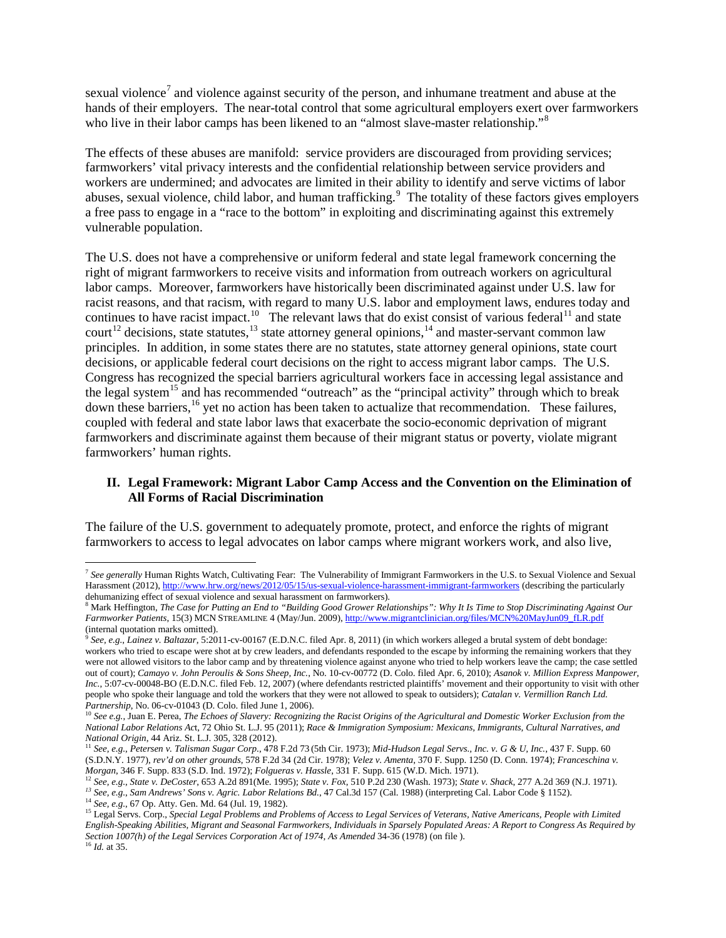sexual violence<sup>[7](#page-1-0)</sup> and violence against security of the person, and inhumane treatment and abuse at the hands of their employers. The near-total control that some agricultural employers exert over farmworkers who live in their labor camps has been likened to an "almost slave-master relationship."<sup>[8](#page-1-1)</sup>

The effects of these abuses are manifold: service providers are discouraged from providing services; farmworkers' vital privacy interests and the confidential relationship between service providers and workers are undermined; and advocates are limited in their ability to identify and serve victims of labor abuses, sexual violence, child labor, and human trafficking.<sup>[9](#page-1-2)</sup> The totality of these factors gives employers a free pass to engage in a "race to the bottom" in exploiting and discriminating against this extremely vulnerable population.

The U.S. does not have a comprehensive or uniform federal and state legal framework concerning the right of migrant farmworkers to receive visits and information from outreach workers on agricultural labor camps. Moreover, farmworkers have historically been discriminated against under U.S. law for racist reasons, and that racism, with regard to many U.S. labor and employment laws, endures today and continues to have racist impact.<sup>[10](#page-1-3)</sup> The relevant laws that do exist consist of various federal<sup>[11](#page-1-4)</sup> and state court<sup>[12](#page-1-5)</sup> decisions, state statutes,<sup>[13](#page-1-6)</sup> state attorney general opinions,<sup>[14](#page-1-7)</sup> and master-servant common law principles. In addition, in some states there are no statutes, state attorney general opinions, state court decisions, or applicable federal court decisions on the right to access migrant labor camps. The U.S. Congress has recognized the special barriers agricultural workers face in accessing legal assistance and the legal system<sup>[15](#page-1-8)</sup> and has recommended "outreach" as the "principal activity" through which to break down these barriers,<sup>[16](#page-1-9)</sup> yet no action has been taken to actualize that recommendation. These failures, coupled with federal and state labor laws that exacerbate the socio-economic deprivation of migrant farmworkers and discriminate against them because of their migrant status or poverty, violate migrant farmworkers' human rights.

## **II. Legal Framework: Migrant Labor Camp Access and the Convention on the Elimination of All Forms of Racial Discrimination**

The failure of the U.S. government to adequately promote, protect, and enforce the rights of migrant farmworkers to access to legal advocates on labor camps where migrant workers work, and also live,

<span id="page-1-9"></span>

<span id="page-1-0"></span> <sup>7</sup> *See generally* Human Rights Watch, Cultivating Fear: The Vulnerability of Immigrant Farmworkers in the U.S. to Sexual Violence and Sexual Harassment (2012)[, http://www.hrw.org/news/2012/05/15/us-sexual-violence-harassment-immigrant-farmworkers](http://www.hrw.org/news/2012/05/15/us-sexual-violence-harassment-immigrant-farmworkers) (describing the particularly dehumanizing effect of sexual violence and sexual harassment on farmworkers).

<span id="page-1-1"></span><sup>8</sup> Mark Heffington, *The Case for Putting an End to "Building Good Grower Relationships": Why It Is Time to Stop Discriminating Against Our Farmworker Patients*, 15(3) MCN STREAMLINE 4 (May/Jun. 2009), [http://www.migrantclinician.org/files/MCN%20MayJun09\\_fLR.pdf](http://www.migrantclinician.org/files/MCN%20MayJun09_fLR.pdf)  (internal quotation marks omitted).

<span id="page-1-2"></span><sup>9</sup> *See, e.g.*, *Lainez v. Baltazar*, 5:2011-cv-00167 (E.D.N.C. filed Apr. 8, 2011) (in which workers alleged a brutal system of debt bondage: workers who tried to escape were shot at by crew leaders, and defendants responded to the escape by informing the remaining workers that they were not allowed visitors to the labor camp and by threatening violence against anyone who tried to help workers leave the camp; the case settled out of court); *Camayo v. John Peroulis & Sons Sheep, Inc.*, No. 10-cv-00772 (D. Colo. filed Apr. 6, 2010); *Asanok v. Million Express Manpower, Inc.*, 5:07-cv-00048-BO (E.D.N.C. filed Feb. 12, 2007) (where defendants restricted plaintiffs' movement and their opportunity to visit with other people who spoke their language and told the workers that they were not allowed to speak to outsiders); *Catalan v. Vermillion Ranch Ltd. Partnership*, No. 06-cv-01043 (D. Colo. filed June 1, 2006).

<span id="page-1-3"></span><sup>&</sup>lt;sup>10</sup> See e.g., Juan E. Perea, *The Echoes of Slavery: Recognizing the Racist Origins of the Agricultural and Domestic Worker Exclusion from the National Labor Relations Ac*t, 72 Ohio St. L.J. 95 (2011); *Race & Immigration Symposium: Mexicans, Immigrants, Cultural Narratives, and*  National Origin, 44 Ariz. St. L.J. 305, 328 (2012).<br><sup>11</sup> See, e.g., Petersen v. Talisman Sugar Corp., 478 F.2d 73 (5th Cir. 1973); Mid-Hudson Legal Servs., Inc. v. G & U, Inc., 437 F. Supp. 60

<span id="page-1-4"></span><sup>(</sup>S.D.N.Y. 1977), *rev'd on other grounds*, 578 F.2d 34 (2d Cir. 1978); *Velez v. Amenta*, 370 F. Supp. 1250 (D. Conn. 1974); *Franceschina v.* 

<span id="page-1-5"></span>Morgan, 346 F. Supp. 833 (S.D. Ind. 1972); Folgueras v. Hassle, 331 F. Supp. 615 (W.D. Mich. 1971).<br><sup>12</sup> See, e.g., State v. DeCoster, 653 A.2d 891(Me. 1995); State v. Fox, 510 P.2d 230 (Wash. 1973); State v. Shack, 277 A.

<span id="page-1-8"></span><span id="page-1-7"></span><span id="page-1-6"></span><sup>&</sup>lt;sup>14</sup> See, e.g., 67 Op. Atty. Gen. Md. 64 (Jul. 19, 1982).<br><sup>15</sup> Legal Servs. Corp., *Special Legal Problems and Problems of Access to Legal Services of Veterans, Native Americans, People with Limited English-Speaking Abilities, Migrant and Seasonal Farmworkers, Individuals in Sparsely Populated Areas: A Report to Congress As Required by Section 1007(h) of the Legal Services Corporation Act of 1974, As Amended* 34-36 (1978) (on file ). 16 *Id.* at 35.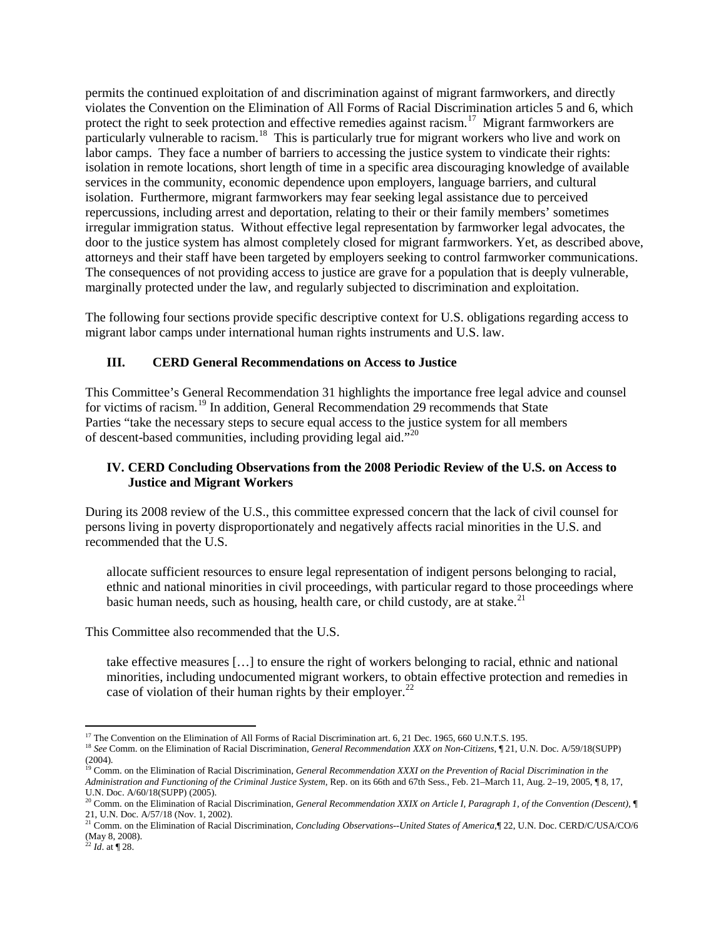permits the continued exploitation of and discrimination against of migrant farmworkers, and directly violates the Convention on the Elimination of All Forms of Racial Discrimination articles 5 and 6, which protect the right to seek protection and effective remedies against racism.<sup>17</sup> Migrant farmworkers are particularly vulnerable to racism.<sup>[18](#page-2-1)</sup> This is particularly true for migrant workers who live and work on labor camps. They face a number of barriers to accessing the justice system to vindicate their rights: isolation in remote locations, short length of time in a specific area discouraging knowledge of available services in the community, economic dependence upon employers, language barriers, and cultural isolation. Furthermore, migrant farmworkers may fear seeking legal assistance due to perceived repercussions, including arrest and deportation, relating to their or their family members' sometimes irregular immigration status. Without effective legal representation by farmworker legal advocates, the door to the justice system has almost completely closed for migrant farmworkers. Yet, as described above, attorneys and their staff have been targeted by employers seeking to control farmworker communications. The consequences of not providing access to justice are grave for a population that is deeply vulnerable, marginally protected under the law, and regularly subjected to discrimination and exploitation.

The following four sections provide specific descriptive context for U.S. obligations regarding access to migrant labor camps under international human rights instruments and U.S. law.

### **III. CERD General Recommendations on Access to Justice**

This Committee's General Recommendation 31 highlights the importance free legal advice and counsel for victims of racism.<sup>[19](#page-2-2)</sup> In addition, General Recommendation 29 recommends that State Parties "take the necessary steps to secure equal access to the justice system for all members of descent-based communities, including providing legal aid."[20](#page-2-3)

#### **IV. CERD Concluding Observations from the 2008 Periodic Review of the U.S. on Access to Justice and Migrant Workers**

During its 2008 review of the U.S., this committee expressed concern that the lack of civil counsel for persons living in poverty disproportionately and negatively affects racial minorities in the U.S. and recommended that the U.S.

allocate sufficient resources to ensure legal representation of indigent persons belonging to racial, ethnic and national minorities in civil proceedings, with particular regard to those proceedings where basic human needs, such as housing, health care, or child custody, are at stake.<sup>[21](#page-2-4)</sup>

This Committee also recommended that the U.S.

take effective measures […] to ensure the right of workers belonging to racial, ethnic and national minorities, including undocumented migrant workers, to obtain effective protection and remedies in case of violation of their human rights by their employer.<sup>[22](#page-2-5)</sup>

<span id="page-2-1"></span><span id="page-2-0"></span><sup>&</sup>lt;sup>17</sup> The Convention on the Elimination of All Forms of Racial Discrimination art. 6, 21 Dec. 1965, 660 U.N.T.S. 195.<br><sup>18</sup> See Comm. on the Elimination of Racial Discrimination, *General Recommendation XXX on Non-Citizens* (2004).

<span id="page-2-2"></span><sup>&</sup>lt;sup>19</sup> Comm. on the Elimination of Racial Discrimination, *General Recommendation XXXI on the Prevention of Racial Discrimination in the Administration and Functioning of the Criminal Justice System*, Rep. on its 66th and 67th Sess., Feb. 21–March 11, Aug. 2–19, 2005, ¶ 8, 17, U.N. Doc. A/60/18(SUPP) (2005).

<span id="page-2-3"></span><sup>20</sup> Comm. on the Elimination of Racial Discrimination, *General Recommendation XXIX on Article I, Paragraph 1, of the Convention (Descent)*, ¶ 21, U.N. Doc. A/57/18 (Nov. 1, 2002).

<span id="page-2-4"></span><sup>21</sup> Comm. on the Elimination of Racial Discrimination, *Concluding Observations--United States of America*,¶ 22, U.N. Doc. CERD/C/USA/CO/6 (May 8, 2008). <sup>22</sup> *Id*. at ¶ 28.

<span id="page-2-5"></span>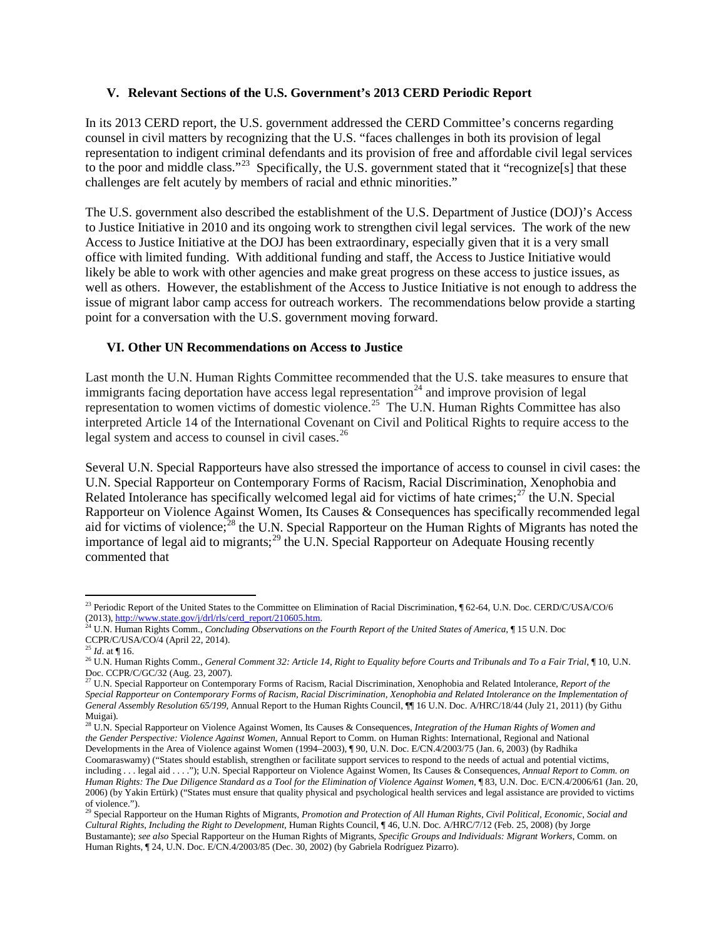#### **V. Relevant Sections of the U.S. Government's 2013 CERD Periodic Report**

In its 2013 CERD report, the U.S. government addressed the CERD Committee's concerns regarding counsel in civil matters by recognizing that the U.S. "faces challenges in both its provision of legal representation to indigent criminal defendants and its provision of free and affordable civil legal services to the poor and middle class."<sup>23</sup> Specifically, the U.S. government stated that it "recognize<sup>[s]</sup> that these challenges are felt acutely by members of racial and ethnic minorities."

The U.S. government also described the establishment of the U.S. Department of Justice (DOJ)'s Access to Justice Initiative in 2010 and its ongoing work to strengthen civil legal services. The work of the new Access to Justice Initiative at the DOJ has been extraordinary, especially given that it is a very small office with limited funding. With additional funding and staff, the Access to Justice Initiative would likely be able to work with other agencies and make great progress on these access to justice issues, as well as others. However, the establishment of the Access to Justice Initiative is not enough to address the issue of migrant labor camp access for outreach workers. The recommendations below provide a starting point for a conversation with the U.S. government moving forward.

### **VI. Other UN Recommendations on Access to Justice**

Last month the U.N. Human Rights Committee recommended that the U.S. take measures to ensure that immigrants facing deportation have access legal representation<sup>[24](#page-3-1)</sup> and improve provision of legal representation to women victims of domestic violence.<sup>[25](#page-3-2)</sup> The U.N. Human Rights Committee has also interpreted Article 14 of the International Covenant on Civil and Political Rights to require access to the legal system and access to counsel in civil cases.<sup>[26](#page-3-3)</sup>

Several U.N. Special Rapporteurs have also stressed the importance of access to counsel in civil cases: the U.N. Special Rapporteur on Contemporary Forms of Racism, Racial Discrimination, Xenophobia and Related Intolerance has specifically welcomed legal aid for victims of hate crimes;<sup>[27](#page-3-4)</sup> the U.N. Special Rapporteur on Violence Against Women, Its Causes & Consequences has specifically recommended legal aid for victims of violence;<sup>[28](#page-3-5)</sup> the U.N. Special Rapporteur on the Human Rights of Migrants has noted the importance of legal aid to migrants;<sup>[29](#page-3-6)</sup> the U.N. Special Rapporteur on Adequate Housing recently commented that

<span id="page-3-0"></span><sup>&</sup>lt;sup>23</sup> Periodic Report of the United States to the Committee on Elimination of Racial Discrimination, ¶ 62-64, U.N. Doc. CERD/C/USA/CO/6 (2013)[, http://www.state.gov/j/drl/rls/cerd\\_report/210605.htm.](http://www.state.gov/j/drl/rls/cerd_report/210605.htm) 24 U.N. Human Rights Comm., *Concluding Observations on the Fourth Report of the United States of America*, ¶ 15 U.N. Doc

<span id="page-3-1"></span>CCPR/C/USA/CO/4 (April 22, 2014).

<span id="page-3-2"></span><sup>25</sup> *Id*. at ¶ 16.

<span id="page-3-3"></span><sup>&</sup>lt;sup>26</sup> U.N. Human Rights Comm., *General Comment 32: Article 14, Right to Equality before Courts and Tribunals and To a Fair Trial, ¶ 10, U.N.* Doc. CCPR/C/GC/32 (Aug. 23, 2007).

<span id="page-3-4"></span><sup>27</sup> U.N. Special Rapporteur on Contemporary Forms of Racism, Racial Discrimination, Xenophobia and Related Intolerance, *Report of the Special Rapporteur on Contemporary Forms of Racism, Racial Discrimination, Xenophobia and Related Intolerance on the Implementation of General Assembly Resolution 65/199*, Annual Report to the Human Rights Council, ¶¶ 16 U.N. Doc. A/HRC/18/44 (July 21, 2011) (by Githu Muigai).

<span id="page-3-5"></span><sup>28</sup> U.N. Special Rapporteur on Violence Against Women, Its Causes & Consequences, *Integration of the Human Rights of Women and the Gender Perspective: Violence Against Women*, Annual Report to Comm. on Human Rights: International, Regional and National Developments in the Area of Violence against Women (1994–2003), ¶ 90, U.N. Doc. E/CN.4/2003/75 (Jan. 6, 2003) (by Radhika Coomaraswamy) ("States should establish, strengthen or facilitate support services to respond to the needs of actual and potential victims, including . . . legal aid . . . ."); U.N. Special Rapporteur on Violence Against Women, Its Causes & Consequences, *Annual Report to Comm. on Human Rights: The Due Diligence Standard as a Tool for the Elimination of Violence Against Women*, ¶ 83, U.N. Doc. E/CN.4/2006/61 (Jan. 20, 2006) (by Yakin Ertürk) ("States must ensure that quality physical and psychological health services and legal assistance are provided to victims of violence.").

<span id="page-3-6"></span><sup>29</sup> Special Rapporteur on the Human Rights of Migrants, *Promotion and Protection of All Human Rights, Civil Political, Economic, Social and Cultural Rights, Including the Right to Development,* Human Rights Council, ¶ 46, U.N. Doc. A/HRC/7/12 (Feb. 25, 2008) (by Jorge Bustamante); *see also* Special Rapporteur on the Human Rights of Migrants, *Specific Groups and Individuals: Migrant Workers*, Comm. on Human Rights, ¶ 24, U.N. Doc. E/CN.4/2003/85 (Dec. 30, 2002) (by Gabriela Rodríguez Pizarro).